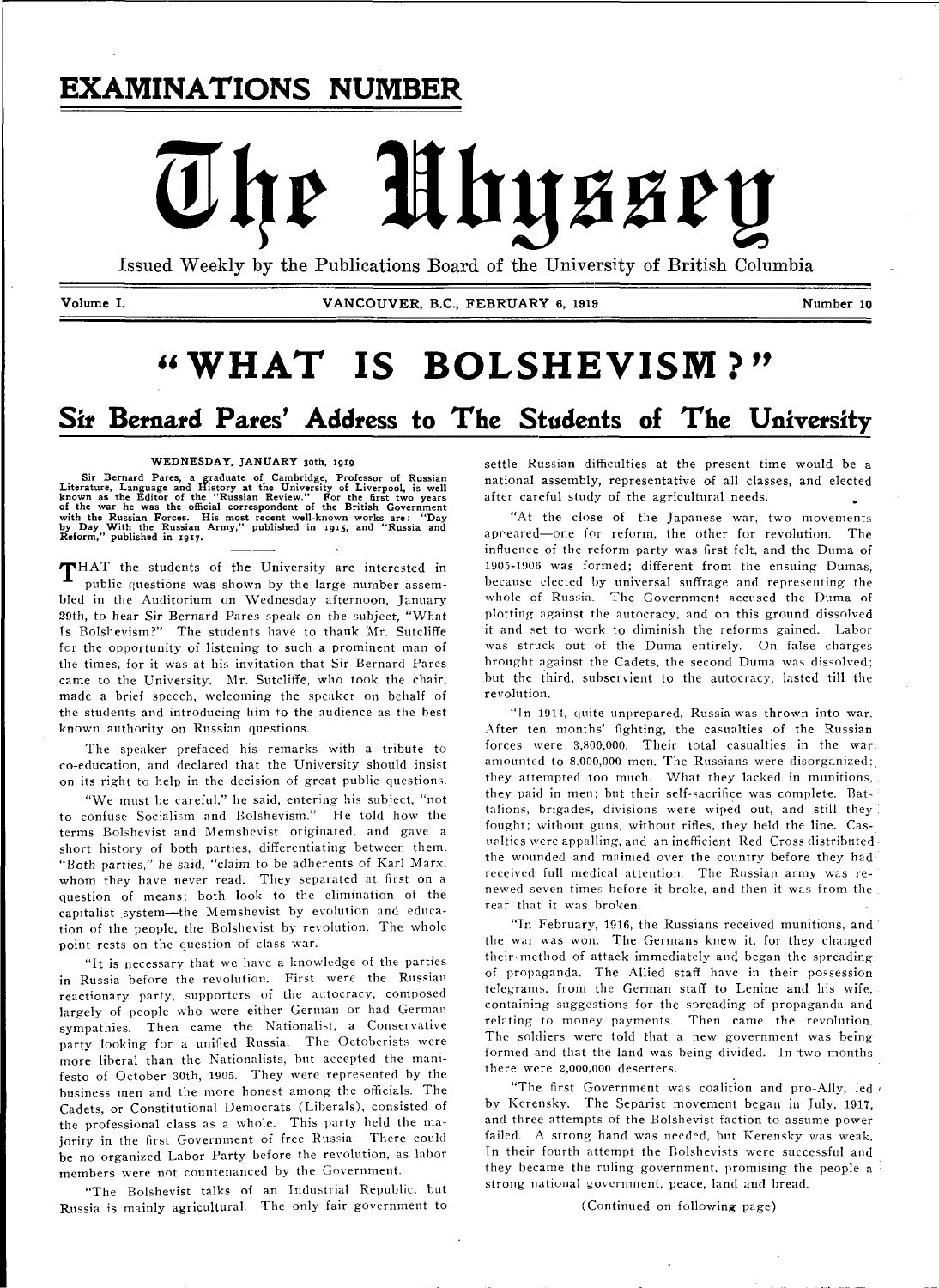# **EXAMINATIONS NUMBER**

# Mhyssey The

Issued Weekly by the Publications Board of the University of British Columbia

Volume I. **VANCOUVER, B.C., FEBRUARY 6, 1919** Number 10

# **"WHAT IS BOLSHEVISM?"**

# *Sit* **Bernard Pates' Address to The Students of The University**

### WEDNESDAY, JANUARY 30th, 1919

Sir Bernard Pares, a graduate of Cambridge, Professor of Russian<br>Literature, Language and History at the University of Liverpool, is well<br>known as the Editor of the "Russian Review." For the first two years<br>of the war he w

THAT the students of the University are interested in public questions was shown by the large number assembled in the Auditorium on Wednesday afternoon, January 29th, to hear Sir Bernard Pares speak on the subject, "What Ts Bolshevism?" The students have to thank Mr. Sutcliffe for the opportunity of listening to such a prominent man of the times, for it was at his invitation that Sir Bernard Pares came to the University. Mr. Sutcliffe, who took the chair, made a brief speech, welcoming the speaker on behalf of the students and introducing him to the audience as the best known authority on Russian questions.

The speaker prefaced his remarks with a tribute to co-education, and declared that the University should insist on its right to help in the decision of great public questions.

"We must be careful," he said, entering his subject, "not to confuse Socialism and Bolshevism." He told how the terms Bolshevist and Memshevist originated, and gave a short history of both parties, differentiating between them. "Both parties," he said, "claim to be adherents of Karl Marx, whom they have never read. They separated at first on a question of means: both look to the elimination of the capitalist system-the Memshevist by evolution and education of the people, the Bolshevist by revolution. The whole point rests on the question of class war.

"It is necessary that we have a knowledge of the parties in Russia before the revolution. First were the Russian reactionary party, supporters of the autocracy, composed largely of people who were either German or had German sympathies. Then came the Nationalist, a Conservative party looking for a unified Russia. The Octoberists were more liberal than the Nationalists, but accepted the manifesto of October 30th, 1905. They were represented by the business men and the more honest among the officials. The Cadets, or Constitutional Democrats (Liberals), consisted of the professional class as a whole. This party held the majority in the first Government of free Russia. There could be no organized Labor Party before the revolution, as labor members were not countenanced by the Government.

"The Bolshevist talks of an Industrial Republic, but Russia is mainly agricultural. The only fair government to settle Russian difficulties at the present time would be a national assembly, representative of all classes, and elected after careful study of the agricultural needs.

"At the close of the Japanese war, two movements appeared—one for reform, the other for revolution. The influence of the reform party was first felt, and the Duma of 1905-1906 was formed; different from the ensuing Dumas, because elected by universal suffrage and representing the whole of Russia. The Government accused the Duma of plotting against the autocracy, and on this ground dissolved it and set to work to diminish the reforms gained. Labor was struck out of the Duma entirely. On false charges brought against the Cadets, the second Duma was dissolved; but the third, subservient to the autocracy, lasted till the revolution.

"Tn 1914, quite unprepared, Russia was thrown into war. After ten months' fighting, the casualties of the Russian forces were 3,800,000. Their total casualties in the war amounted to 8,000,000 men. The Russians were disorganized; they attempted too much. What they lacked in munitions, they paid in men; but their self-sacrifice was complete. Battalions, brigades, divisions were wiped out, and still they ! fought; without guns, without rifles, they held the line. Casualties were appalling, and an inefficient Red Cross distributed, the wounded and maimed over the country before they had received full medical attention. The Russian army was renewed seven times before it broke, and then it was from the rear that it was broken.

"In February, 1916, the Russians received munitions, and the war was won. The Germans knew it, for they changed' their method of attack immediately and began the spreading. of propaganda. The Allied staff have in their possession telegrams, from the German staff to Lenine and his wife, containing suggestions for the spreading of propaganda and relating to money payments. Then came the revolution. The soldiers were told that a new government was being formed and that the land was being divided. In two months there were 2,000,000 deserters.

"The first Government was coalition and pro-Ally, led by Kcrensky. The Separist movement began in July, 1917, and three attempts of the Bolshevist faction to assume power failed. A strong hand was needed, but Kerensky was weak. Tn their fourth attempt the Bolshevists were successful and they became the ruling government, promising the people a strong national government, peace, land and bread.

(Continued on following page)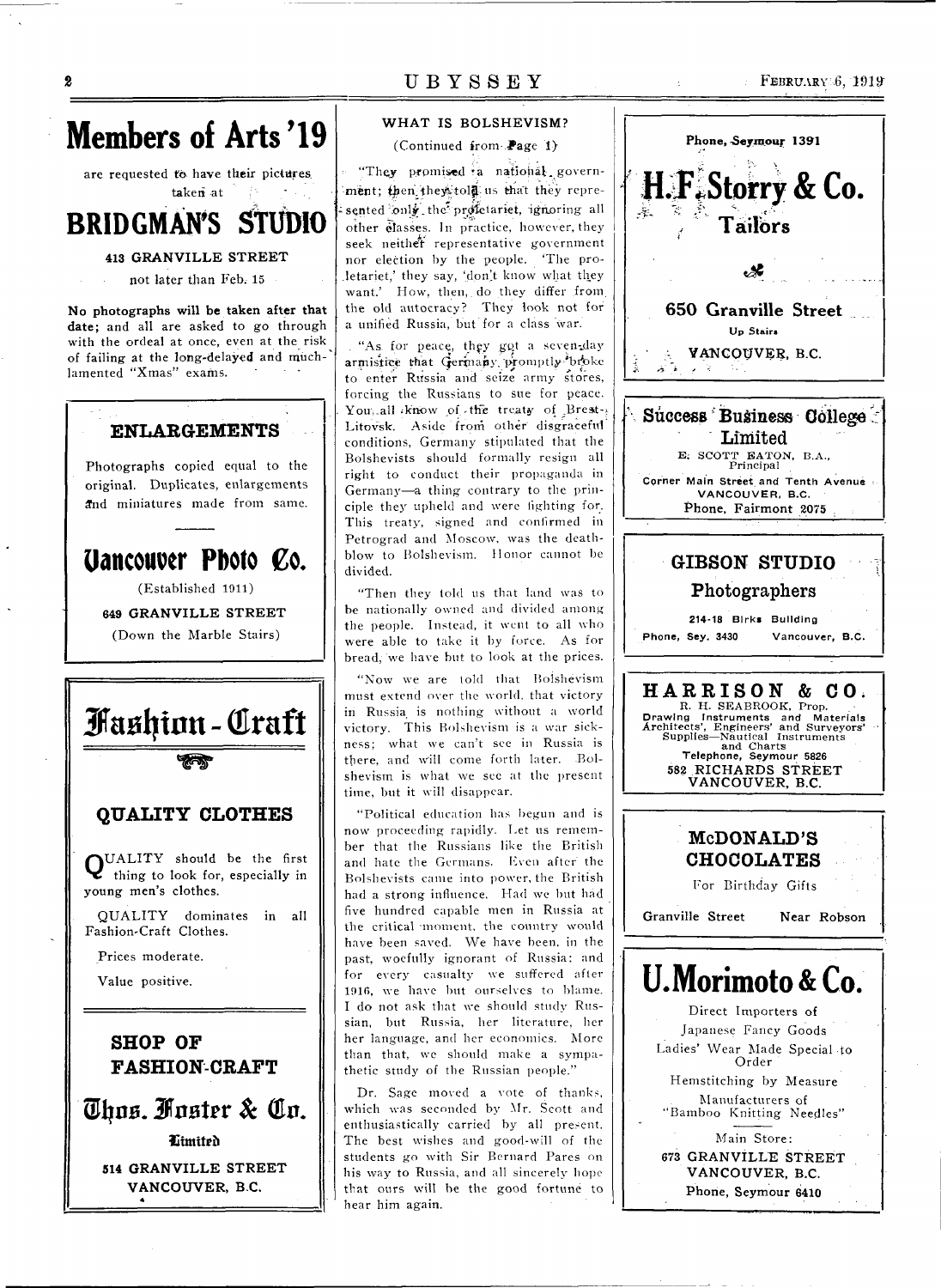

 $\boldsymbol{2}$ 

are requested to have their pictures. taken at

### **STUDIO BRIDGMAN'S**

### **413 GRANVILLE STREET**

not later than Feb. 15

No photographs will be taken after that date; and all are asked to go through with the ordeal at once, even at the risk of failing at the long-delayed and muchlamented "Xmas" exams.

## **ENLARGEMENTS** Photographs copied equal to the original. Duplicates, enlargements and miniatures made from same. Uancouver Photo Co. (Established 1911) **649 GRANVILLE STREET**

(Down the Marble Stairs)

Fashion - Craft **QUALITY CLOTHES** QUALITY should be the first<br>thing to look for, especially in young men's clothes. QUALITY dominates in all Fashion-Craft Clothes. Prices moderate. Value positive. **SHOP OF FASHION-CRAFT** Thus. Fuster & Co. Limited 514 GRANVILLE STREET VANCOUVER, B.C.

### UBYSSEY

### WHAT IS BOLSHEVISM?

(Continued from Page 1)

"They promised a national government; then they told us that they represented only the profetariet, ignoring all other classes. In practice, however, they seek neither representative government nor election by the people. The proletariet,' they say, 'don't know what they want.' How, then, do they differ from the old autocracy? They look not for a unified Russia, but for a class war.

"As for peace, they got a seven-day armistice that Germany promptly broke to enter Russia and seize army stores, forcing the Russians to sue for peace. You, all know of the treaty of Brest-Litovsk. Aside from other disgraceful conditions, Germany stipulated that the Bolshevists should formally resign all right to conduct their propaganda in Germany-a thing contrary to the principle they upheld and were fighting for. This treaty, signed and confirmed in Petrograd and Moscow, was the deathblow to Bolshevism. Honor cannot be divided.

"Then they told us that land was to be nationally owned and divided among the people. Instead, it went to all who were able to take it by force. As for bread, we have but to look at the prices.

"Now we are told that Bolshevism must extend over the world, that victory in Russia is nothing without a world victory. This Bolshevism is a war sickness; what we can't see in Russia is there, and will come forth later. Bolshevism is what we see at the present time, but it will disappear.

"Political education has begun and is now proceeding rapidly. Let us remember that the Russians like the British and hate the Germans. Even after the Bolshevists came into power, the British had a strong influence. Had we but had five hundred capable men in Russia at the critical moment, the country would have been saved. We have been, in the past, woefully ignorant of Russia; and for every casualty we suffered after 1916, we have but ourselves to blame. I do not ask that we should study Russian, but Russia, her literature, her her language, and her economics. More than that, we should make a sympathetic study of the Russian people."

Dr. Sage moved a vote of thanks, which was seconded by Mr. Scott and enthusiastically carried by all present. The best wishes and good-will of the students go with Sir Bernard Pares on his way to Russia, and all sincerely hope that ours will be the good fortune to hear him again.

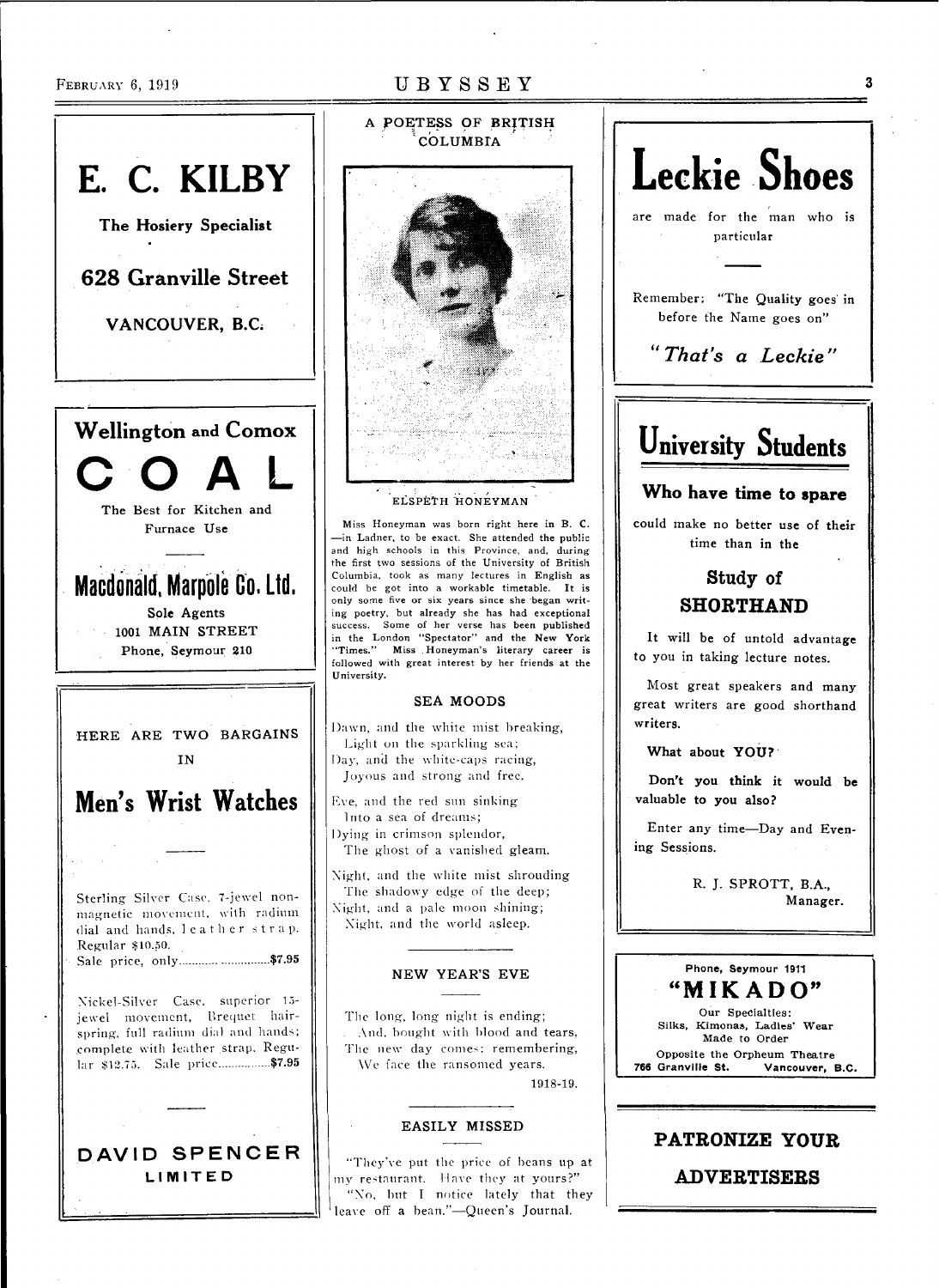# **E. C. KILBY The Hosiery Specialist**  628 Granville Street VANCOUVER, B.C. **Wellington** and **Comox COA L The Best for Kitchen and Furnace Use Macdonald, Marpole Co. Ltd. Sole Agents 1001 MAIN STREET Phone, Seymour 210 HERE ARE TWO BARGAINS IN Men's Wrist Watches**  Sterling Silver Case, 7-jewel nonmagnetic movement, with radium dial and hands, leather strap. Regular \$10.50. Sale price, only **\$7.95**  Xickel-Silver Case, superior 15 jewel movement, Brequet hairspring, full radium dial and hands; complete with leather strap. Regular \$12.75. Sale price................... \$7.95 **DAVID SPENCE R LIMITE D**

# **A POETES S OF BRITISH COLUMBIA**

### ELSPETH HONEYMAN

Miss Honeyman was born right here in B. C. —in Ladner, to be exact. She attended the public and high schools in this Province, and, during the first two sessions of the University of British Columbia, took as many lectures in English as could be got into a workable timetable. It is only some five or six years since she began writing poetry, but already she has had exceptional success. Some of her verse has been published in the London "Spectator" and the **New York**  "Times." Miss .Honeyman's literary career is followed with great interest by her friends at the University.

### **SEA MOODS**

Dawn, and the white mist breaking, Light on the sparkling sea; Day, and the white-caps racing, Joyous and strong and free.

Eve, and the red sun sinking Into a sea of dreams; Dying in crimson splendor, The ghost of a vanished gleam.

Xight, and the white mist shrouding The shadowy edge of the deep; Xight, and a pale moon shining; Xight, and the world asleep.

### **N E W YEAR'S EV E**

The long, long night is ending; . And, bought with blood and tears, The new day comes; remembering, We face the ransomed years. 1918-19.

### **EASILY MISSED**

"They've put the price of beans up at my restaurant. Have they at yours? " "No, but I notice lately that they leave off **a** bean."—Queen's **Journal.** 

# **are made for the man who is particular Remember; "The Quality goes' in before the Name goes on"**  *"That's a Leckie"*  **University Students Who have time to spare could make no better use of their time than in the**  Study of SHORTHAND **It will be of untold advantage to you in taking lecture notes. Most great speakers and many great writers are good shorthand writers.**

**Leckie Shoes** 

**What about YOU?** 

**Don't you think it would be valuable to you also?** 

**Enter any time—Day and Evening Sessions.** 

> **R. J. SPROTT, B.A., Manager.**

### *it*  MIKADO" **Phone, Seymour 1911**

**Our Specialties: Silks, Kimonas, Ladles' Wear Made to Order Opposite the Orpheum Theatre**<br>**766 Granville St. Vancouver.** Vancouver, B.C.

### PATRONIZE YOUR

ADVERTISERS

3

### **FEBRUARY 6, 1919 UBYSSEY**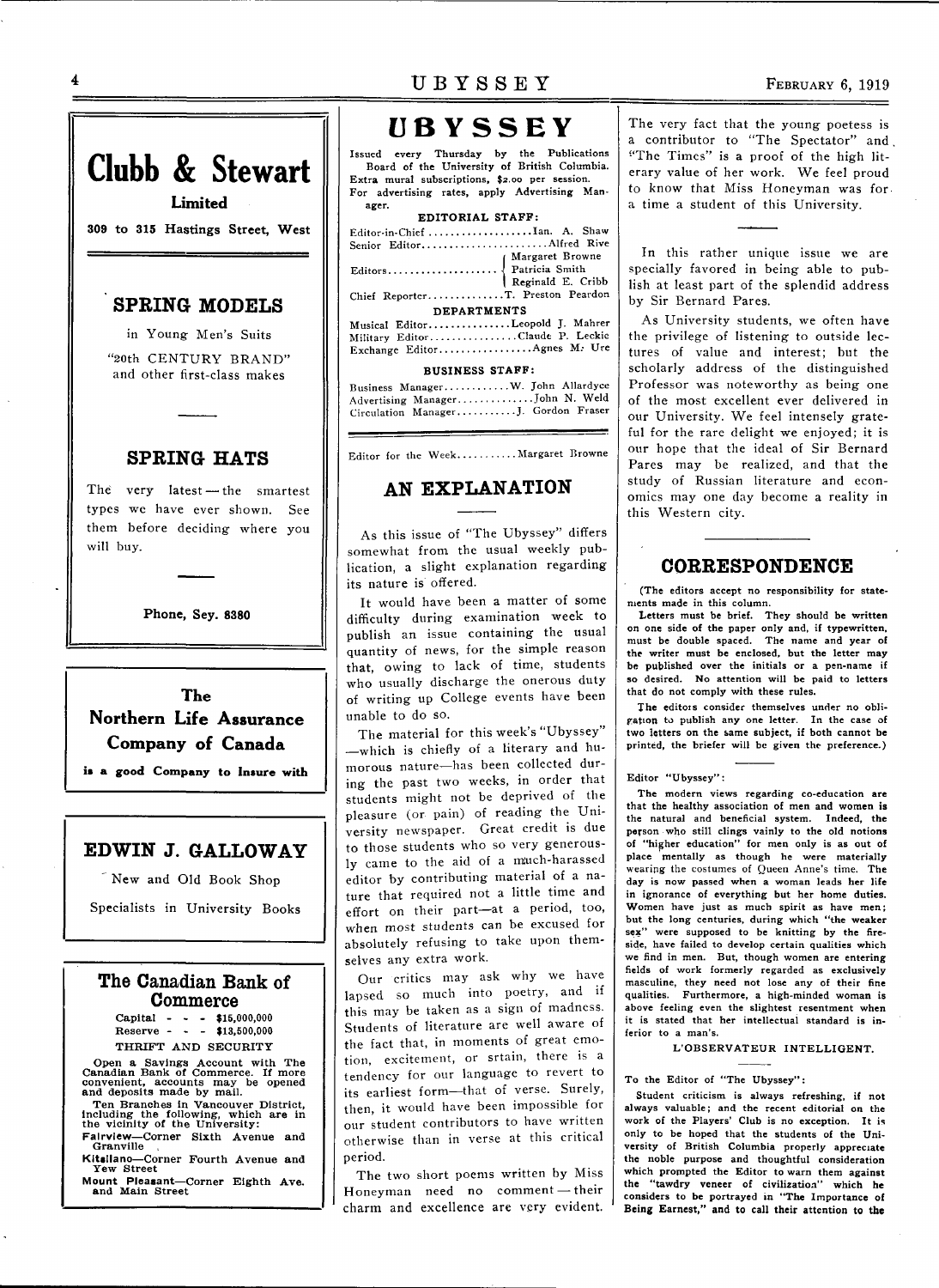# **UBYSSE Y**

Issued every Thursday by the Publications Board of the University of British Columbia. Extra mural subscriptions, \$2.00 per session. For advertising rates, apply Advertising Manager.

| ----                             |  |  |  |  |
|----------------------------------|--|--|--|--|
| EDITORIAL STAFF:                 |  |  |  |  |
| Editor-in-Chief Ian. A. Shaw     |  |  |  |  |
| Senior EditorAlfred Rive         |  |  |  |  |
|                                  |  |  |  |  |
|                                  |  |  |  |  |
|                                  |  |  |  |  |
| Chief ReporterT. Preston Peardon |  |  |  |  |
| <b>DEPARTMENTS</b>               |  |  |  |  |
| Musical EditorLeopold J. Mahrer  |  |  |  |  |
| Military EditorClaude P. Leckie  |  |  |  |  |
| Exchange Editor Agnes M. Ure     |  |  |  |  |
| <b>BUSINESS STAFF:</b>           |  |  |  |  |

| Business ManagerW. John Allardyce   |  |
|-------------------------------------|--|
| Advertising Manager John N. Weld    |  |
| Circulation ManagerJ. Gordon Fraser |  |

Editor for the Week...........Margaret Browne

### **AN EXPLANATION**

As this issue of "The Ubyssey" differs somewhat from the usual weekly publication, a slight explanation regarding its nature is offered.

It would have been a matter of some difficulty during examination week to publish an issue containing the usual quantity of news, for the simple reason that, owing to lack of time, students who usually discharge the onerous duty of writing up College events have been unable to do so.

The material for this week's "Ubyssey" —which is chiefly of a literary and humorous nature—has been collected during the past two weeks, in order that students might not be deprived of the pleasure (or pain) of reading the University newspaper. Great credit is due to those students who so very generously came to the aid of a miuch-harassed editor by contributing material of a nature that required not a little time and effort on their part—at a period, too, when most students can be excused for absolutely refusing to take upon themselves any extra work.

Our critics may ask why we have lapsed so much into poetry, and if this may be taken as a sign of madness. Students of literature are well aware of the fact that, in moments of great emotion, excitement, or srtain, there is a tendency for our language to revert to its earliest form—that of verse. Surely, then, it would have been impossible for our student contributors to have written otherwise than in verse at this critical period.

The two short poems written by Miss Honeyman need no comment — their charm and excellence are very evident. The very fact that the young poetess is a contributor to "The Spectator" and "The Times" is a proof of the high literary value of her work. We feel proud to know that Miss Honeyman was for. a time a student of this University.

In this rather unique issue we are specially favored in being able to publish at least part of the splendid address by Sir Bernard Pares.

As University students, we often have the privilege of listening to outside lectures of value and interest; but the scholarly address of the distinguished Professor was noteworthy as being one of the most excellent ever delivered in our University. We feel intensely grateful for the rare delight we enjoyed; it is our hope that the ideal of Sir Bernard Pares may be realized, and that the study of Russian literature and economics may one day become a reality in this Western city.

### **CORRESPONDENCE**

(The editors accept no responsibility for statements made in this column.

Letters must be brief. They should be written on one side of the paper only and, if typewritten, must be double spaced. The name and year of the writer must be enclosed, but the letter may be published over the initials or a pen-name if so desired. No attention will be paid to letters that do not comply with these rules.

The editors consider themselves under no obligation to publish any one letter. In the case of two letters on the same subject, if both cannot be printed, the briefer will be given the preference.)

### Editor "Ubyssey":

The modern views regarding co-education are that the healthy association of men and women is the natural and beneficial system. Indeed, the person who still clings vainly to the old notions of "higher education" for men only is as out of place mentally as though he were materially wearing the costumes of Queen Anne's time. The day is now passed when a woman leads her life in ignorance of everything but her home duties. Women have just as much spirit as have men; but the long centuries, during which "the weaker sex" were supposed to be knitting by the fireside, have failed to develop certain qualities which we find in men. But, though women are entering fields of work formerly regarded as exclusively masculine, they need not lose any of their fine qualities. Furthermore, a high-minded woman is above feeling even the slightest resentment when it is stated that her intellectual standard is inferior to a man's.

### L'OBSERVATEUR INTELLIGENT.

### To the Editor of "The Ubyssey":

Student criticism is always refreshing, if not always valuable; and the recent editorial on the work of the Players' Club is no exception. It is only to be hoped that the students of the University of British Columbia properly appreciate the noble purpose and thoughtful consideration which prompted the Editor to warn them against the "tawdry veneer of civilization" which he considers to be portrayed in "The Importance of Being Earnest," and to call their attention to the

**Phone, Sey. 8380** 

will buy.

**Clubb & Stewart** 

**Limited 309 to 315** Hastings **Street, West** 

**SPRING MODELS**  in Young Men's Suits "20th CENTURY BRAND" and other first-class makes

**SPRING HATS** 

The very latest — the smartest types we have ever shown. See them before deciding where you

**The Northern Life Assurance Company of Canada** 

**is a good Company to Insure with** 

### **EDWIN J. GALLOWAY**

' New and Old Book Shop

Specialists in University Books

### **The Canadian Bank of Commerce**

Capital - - - \$15,000,000 Reserve - - - \$13,500,000 THRIFT AND SECURITY

Open a Savings Account with The Canadian Bank of Commerce. If more convenient, accounts may be opened and deposits made by mail.

Ten Branches in Vancouver District, Including the following, which are in the vicinity of the University:

**Falrvlew**—Corner Sixth Avenue and **Granville** 

**Kltsllano**—Corner Fourth Avenue and Yew Street

**Mount Pleasant**—Corner Eighth Ave. and Main Street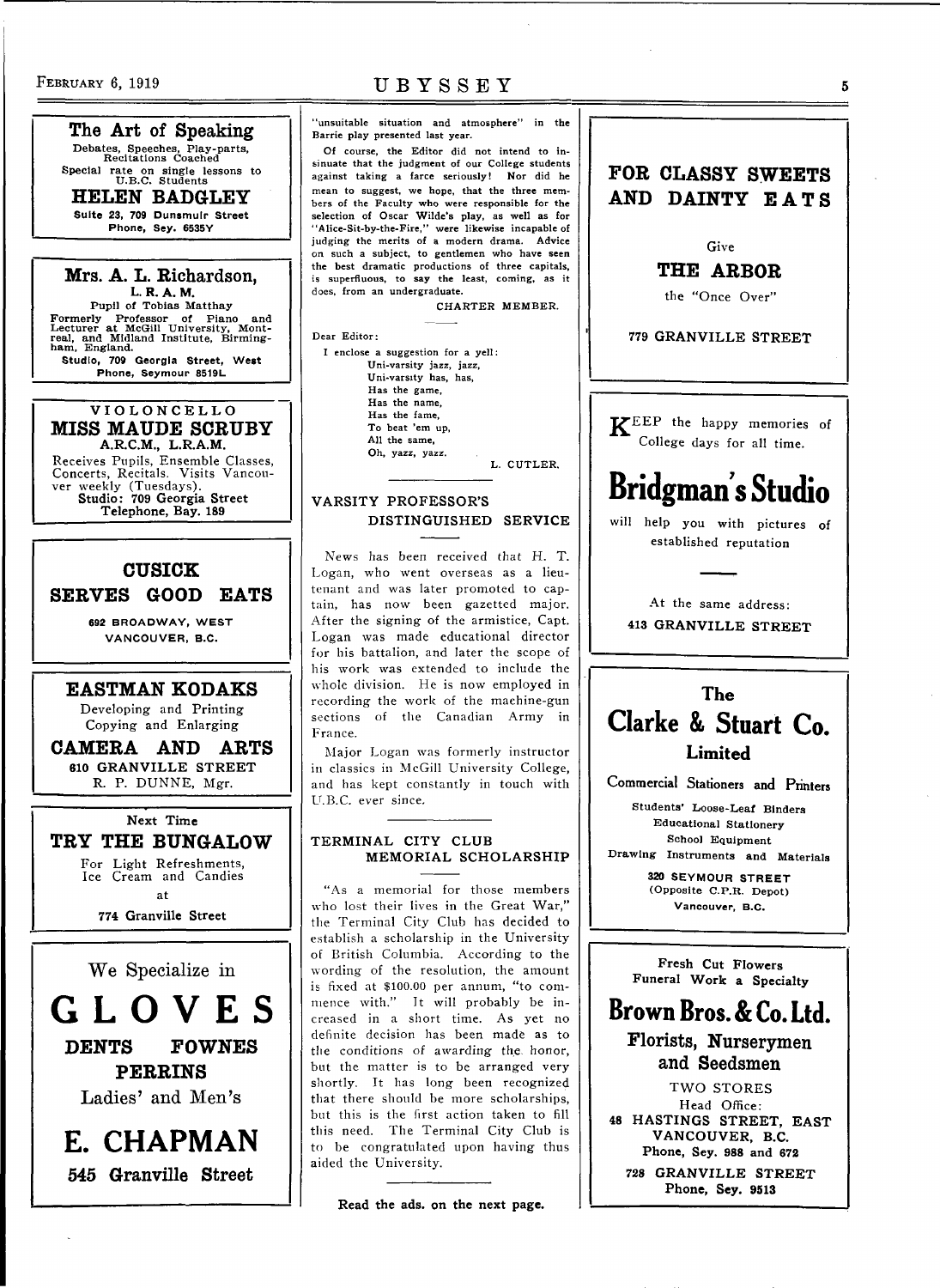The Art of Speaking Debates, Speeches, Play-parts, Recitations Coached Special rate on single lessons to<br>U.B.C. Students

HELEN BADGLEY Suite 23, 709 Dunsmulr Street Phone, Sey. 6535Y

Mrs. A. L. Richardson, L. R. A. M.<br>Pupil of Tobias Matthay Pupil of Tobias Matthay<br>
Formerly Professor of Piano and<br>
Lecturer at McGill University, Mont-<br>
real, and Midland Institute, Birming-<br>
ham, England. Studio, 709 Georgia Street, West Phone, Seymour 8519L

### **VIOLONCELL O**  MISS MAUDE SCRUBY<br>A.R.C.M., L.R.A.M. **A.R.C.M., L.R.A.M.**

Receives Pupils, Ensemble Classes, Concerts, Recitals. Visits Vancou-ver weekly (Tuesdays). **Studio: 709 Georgia Street Telephone, Bay. 189** 

### CUSIOK

SERVES GOOD EATS

**692 BROADWAY, WEST VANCOUVER, B.C.** 

EASTMAN KODAKS Developing and Printing

Copying and Enlarging CAMERA AND ARTS **610 GRANVILLE STREET** 

**R.** P. DUNNE, Mgr.

**Next Time**  TRY THE BUNGALOW For Light Refreshments, Ice Cream and Candies at

**774 Granville Street** 

We Specialize in

**GLOVE S**  DENTS FOWNES FERRINS Ladies' and Men's

**E. CHAPMAN**  545 Granville Street

### FEBRUARY 6, 1919 UBYSSEY

"unsuitable situation and atmosphere" in the Barrie play presented last year.

Of course, the Editor did not intend to insinuate that the judgment of our College students against taking a farce seriously! Nor did he mean to suggest, we hope, that the three members of the Faculty who were responsible for the selection of Oscar Wilde's play, as well as for "Alice-Sit-by-the-Fire," were likewise incapable of judging the merits of a modern drama. Advice on such a subject, to gentlemen who have seen the best dramatic productions of three capitals, is superfluous, to say the least, coming, as it does, from an undergraduate.

CHARTER MEMBER.

Dear Editor:

### I enclose a suggestion for a yell: Uni-varsity jazz, jazz, Uni-varsity has, has, Has the game, Has the name, Has the fame, To beat 'em up, All the same, Oh, yazz, yazz. L. CUTLER.

**VARSITY PROFESSOR'S DISTINGUISHED SERVICE** 

News has been received that H. T. Logan, who went overseas as a lieutenant and was later promoted to captain, has now been gazetted major. After the signing of the armistice, Capt. Logan was made educational director for his battalion, and later the scope of his work was extended to include the whole division. He is now employed in recording the work of the machine-gun sections of the Canadian Army in France.

Major Logan was formerly instructor in classics in McGill University College, and has kept constantly in touch with U.B.C. ever since.

### **TERMINAL CITY CLUB MEMORIAL SCHOLARSHIP**

"As a memorial for those members who lost their lives in the Great War," the Terminal City Club has decided to establish a scholarship in the University of British Columbia. According to the wording of the resolution, the amount is fixed at \$100.00 per annum, "to commence with." It will probably be increased in a short time. As yet no definite decision has been made as to the conditions of awarding the, honor, but the matter is to be arranged very shortly. It has long been recognized that there should be more scholarships, but this is the first action taken to fill this need. The Terminal City Club is to be congratulated upon having thus aided the University.

**Read the ads. on the next page.** 



**320 SEYMOUR STREET**  (Opposite C.P.R. Depot) **Vancouver, B.C.** 

**Fresh Cut Flowers Funeral Work a Specialty** 

### **Brown Bros. & Co. Ltd.**  Florists, Nurserymen and Seedsmen

TWO STORES Head Office: **48 HASTINGS STREET, EAST VANCOUVER, B.C. Phone, Sey. 988 and 672 728 GRANVILLE STREET Phone, Sey. 9513**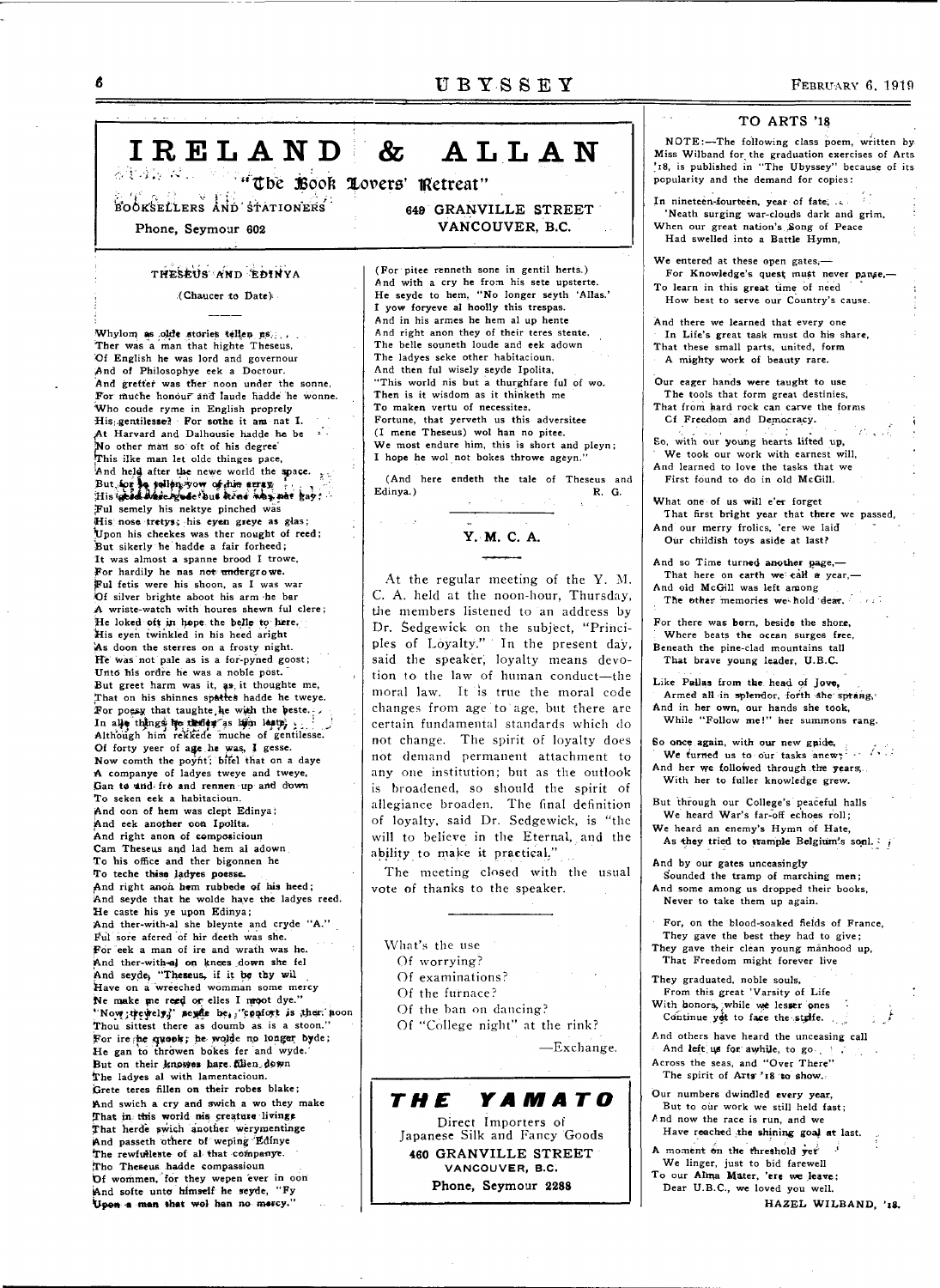ALLAN

IRELAND &

adan wil "The Book Lovers' Retreat" BOOKSELLERS AND STATIONERS

Phone, Seymour 602

### THESEUS AND EDINYA

(Chaucer to Date).

Whylom as olde stories tellen us. Ther was a man that highte Theseus, Of English he was lord and governour And of Philosophye eek a Doctour. And gretter was ther noon under the sonne, For muche honour and laude hadde he wonne. Who coude ryme in English proprely His gentilesse? For sothe it am nat I. At Harvard and Dalhousie hadde he be ...<br>No other man so oft of his degree This ilke man let olde thinges pace, And held after the newe world the space. But for la sellen yow of this erray for the file Ful semely his nektye pinched was His nose tretys; his eyen greye as glas; Upon his cheekes was ther nought of reed; But sikerly he hadde a fair forheed; It was almost a spanne brood I trowe, For hardily he nas not undergrowe. Ful fetis were his shoon, as I was war Of silver brighte aboot his arm he bar A wriste-watch with houres shewn ful clere; He loked oft in hope the belle to here, His eyen twinkled in his heed aright As doon the sterres on a frosty night. He was not pale as is a for-pyned goost; Unto his ordre he was a noble post. But greet harm was it, as it thoughte me,<br>That on his shinnes spattes hadde he tweye. For poesy that taughte he with the beste. In alle things he there as lim leap, Of forty yeer of age he was, I gesse. Now comth the poynt; bifel that on a daye A companye of ladyes tweye and tweye, Gan to und fro and rennen up and down To seken eek a habitacioun. And oon of hem was clept Edinya; And eek another oon Ipolita. And right anon of composicioun Cam Theseus and lad hem al adown To his office and ther bigonnen he To teche thise ladyes poesse. And right anon hem rubbede of his heed; And seyde that he wolde have the ladyes reed. He caste his ye upon Edinya; And ther-with-al she bleynte and cryde "A." Ful sore afered of hir deeth was she. For eek a man of ire and wrath was he. And ther-with-al on knees down she fel And seyde, "Theseus, if it be thy wil Have on a wreeched womman some mercy Ne make me reed or elles I moot dye."<br>"Now tewelve," sexde be, "confort is then noon Thou sittest there as doumb as is a stoon." For ire he quook; he wolde no longer byde; He gan to throwen bokes fer and wyde. But on their knowes hare filen down The ladves al with lamentacioun. Grete teres fillen on their robes blake; And swich a cry and swich a wo they make That in this world nis creature livings That herde swich another werymentinge And passeth othere of weping Edinye The rewfulleste of al that companye. Tho Theseus hadde compassioun Of wommen, for they wepen ever in oon And softe unto himself he seyde, "Fy Upon a man that wol han no mercy."

649 GRANVILLE STREET VANCOUVER, B.C.

(For pitee renneth sone in gentil herts.) And with a cry he from his sete upsterte. He seyde to hem, "No longer seyth 'Allas.' I yow foryeve al hoolly this trespas. And in his armes he hem al up hente And right anon they of their teres stente, The belle souneth loude and eek adown The ladyes seke other habitacioun. And then ful wisely seyde Ipolita, "This world nis but a thurghfare ful of wo. Then is it wisdom as it thinketh me To maken vertu of necessitee. Fortune, that yerveth us this adversitee (I mene Theseus) wol han no pitee. We most endure him, this is short and pleyn; I hope he wol not bokes throwe ageyn.'

(And here endeth the tale of Theseus and Edinya.) R. G.

# Y. M. C. A.

At the regular meeting of the Y. M. C. A. held at the noon-hour, Thursday, the members listened to an address by Dr. Sedgewick on the subject, "Principles of Loyalty." In the present day, said the speaker, loyalty means devotion to the law of human conduct-the moral law. It is true the moral code changes from age to age, but there are certain fundamental standards which do not change. The spirit of loyalty does not demand permanent attachment to any one institution; but as the outlook is broadened, so should the spirit of allegiance broaden. The final definition of loyalty, said Dr. Sedgewick, is "the will to believe in the Eternal, and the ability to make it practical."

The meeting closed with the usual vote of thanks to the speaker.

- What's the use
- Of worrying?
- Of examinations?
- Of the furnace?
- Of the ban on dancing?
- Of "College night" at the rink?

-Exchange.

**YAMATO** THE Direct Importers of Japanese Silk and Fancy Goods 460 GRANVILLE STREET VANCOUVER, B.C. Phone, Seymour 2288

### TO ARTS '18

NOTE:-The following class poem, written by Miss Wilband for the graduation exercises of Arts '18, is published in "The Ubyssey" because of its popularity and the demand for copies:

In nineteen-fourteen, year of fate; ... 'Neath surging war-clouds dark and grim, When our great nation's Song of Peace Had swelled into a Battle Hymn.

We entered at these open gates. $-$ For Knowledge's quest must never pange,-To learn in this great time of need How best to serve our Country's cause.

And there we learned that every one In Life's great task must do his share, That these small parts, united, form A mighty work of beauty rare.

Our eager hands were taught to use The tools that form great destinies, That from hard rock can carve the forms

Cf Freedom and Democracy. So, with our young hearts lifted up, We took our work with earnest will,

And learned to love the tasks that we First found to do in old McGill.

What one of us will e'er forget That first bright year that there we passed, And our merry frolics, 'ere we laid Our childish toys aside at last?

And so Time turned another page, That here on earth we call a year, And old McGill was left among The other memories we hold dear.

For there was born, beside the shore, Where beats the ocean surges free, Beneath the pine-clad mountains tall That brave young leader, U.B.C.

Like Pallas from the head of Jove, Armed all in splendor, forth she sprang, And in her own, our hands she took, While "Follow me!" her summons rang.

So once again, with our new gnide, We furned us to our tasks anews ... ... And her we followed through the years, With her to fuller knowledge grew.

But through our College's peaceful halls We heard War's far-off echoes roll; We heard an enemy's Hymn of Hate,

As they tried to trample Belgium's sonl. i

And by our gates unceasingly

Sounded the tramp of marching men; And some among us dropped their books, Never to take them up again.

For, on the blood-soaked fields of France.

They gave the best they had to give;

They gave their clean young manhood up, That Freedom might forever live

They graduated, noble souls, From this great 'Varsity of Life With honors, while we lesser ones

Continue yet to face the staffe. And others have heard the unceasing call

And left us for awhile, to go Across the seas, and "Over There" The spirit of Arts''18 to show.

Our numbers dwindled every year, But to our work we still held fast:

And now the race is run, and we Have reached the shining goal at last.

A moment on the threshold yet We linger, just to bid farewell

To our Alma Mater, 'ere we leave; Dear U.B.C., we loved you well.

HAZEL WILBAND, '18.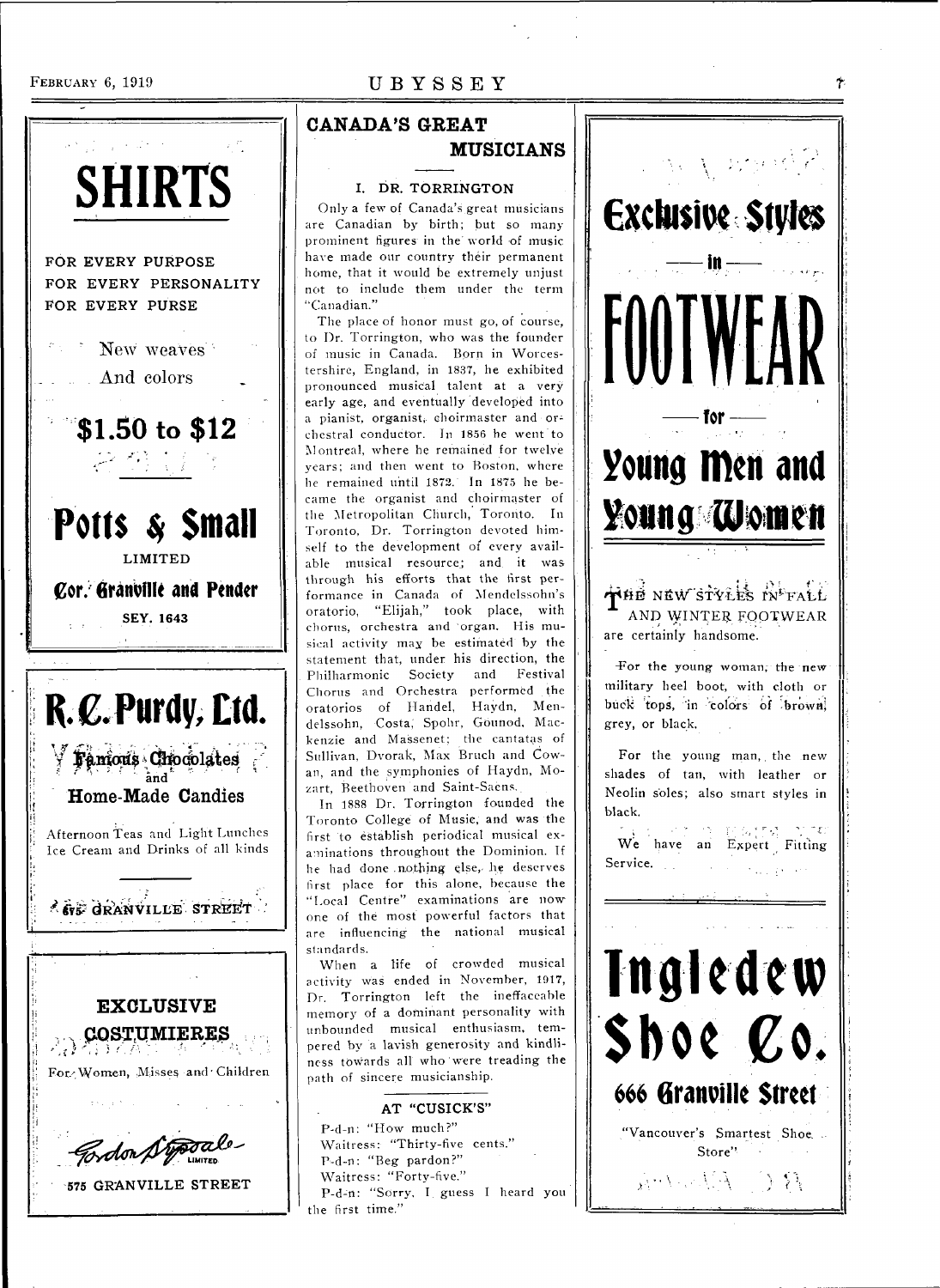### FEBRUARY 6, 1919 UBYSSEY



**575 GRANVILLE STREET** 

### **CANADA'S GREAT MUSICIANS**

### **I. DR. TORRLNGTON**

Only a few of Canada's great musicians are Canadian by birth; but so many prominent figures in the world of music have made our country their permanent home, that it would be extremely unjust not to include them under the term "Canadian."

The place of honor must go, of course, to Dr. Torrington, who was the founder of music in Canada. Born in Worcestershire, England, in 1837, he exhibited pronounced musical talent at a very early age, and eventually developed into a pianist, organist, choirmaster and orchestral conductor. In 1856 he went to Montreal, where he remained for twelve years; and then went to Boston, where lie remained until 1872. In 1875 he became the organist and choirmaster of the Metropolitan Church, Toronto. In Toronto, Dr. Torrington devoted himself to the development of every available musical resource; and it was through his efforts that the first performance in Canada of Mendelssohn's oratorio, "Elijah," took place, with chorus, orchestra and organ. His musical activity may be estimated by the statement that, under his direction, the Philharmonic Society and Festival Chorus and Orchestra performed the oratorios of Handel, Haydn, Mendelssohn, Costa, Spohr, Gounod, Mackenzie and Massenet; the cantatas of Sullivan, Dvorak, Max Bruch and Cowan, and the symphonies of Haydn, Mozart, Beethoven and Saint-Saens.

In 1888 Dr. Torrington founded the Toronto College of Music, and was the first to establish periodical musical examinations throughout the Dominion. If he had done .nothing else, he deserves first place for this alone, because the "Local Centre" examinations are now one of the most powerful factors that are influencing the national musical standards.

When a life of crowded musical activity was ended in November, 1917, Dr. Torrington left the ineffaceable memory of a dominant personality with unbounded musical enthusiasm, tempered by a lavish generosity and kindliness towards all who were treading the path of sincere musicianship.

### **AT "CUSICK'S"**  P-d-n: "How much?" Waitress: "Thirty-five cents." P-d-n: "Beg pardon?" Waitress: "Forty-five." P-d-rt: "Sorry, I guess I heard you

the first time."